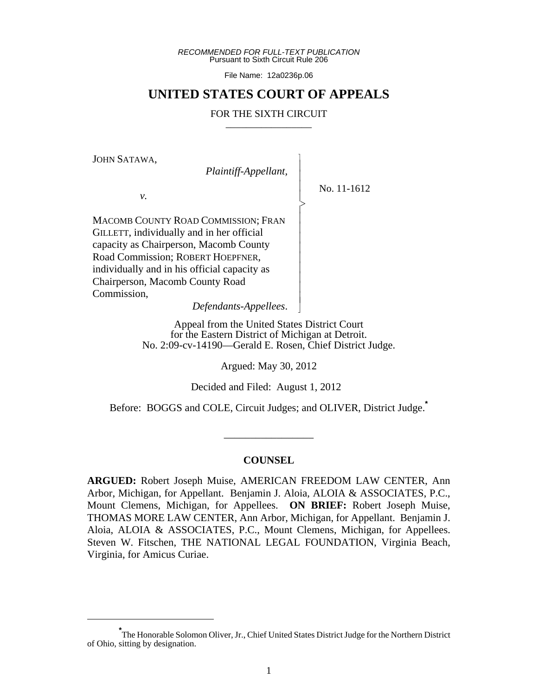*RECOMMENDED FOR FULL-TEXT PUBLICATION* Pursuant to Sixth Circuit Rule 206

File Name: 12a0236p.06

# **UNITED STATES COURT OF APPEALS**

#### FOR THE SIXTH CIRCUIT

 $\overline{\phantom{a}}$ - - - > , - - - - - - - - - N

JOHN SATAWA,

 *Plaintiff-Appellant,*

No. 11-1612

*v.*

MACOMB COUNTY ROAD COMMISSION; FRAN GILLETT, individually and in her official capacity as Chairperson, Macomb County Road Commission; ROBERT HOEPFNER, individually and in his official capacity as Chairperson, Macomb County Road Commission,

*Defendants-Appellees*.

Appeal from the United States District Court for the Eastern District of Michigan at Detroit. No. 2:09-cv-14190—Gerald E. Rosen, Chief District Judge.

Argued: May 30, 2012

Decided and Filed: August 1, 2012

Before: BOGGS and COLE, Circuit Judges; and OLIVER, District Judge.**\***

\_\_\_\_\_\_\_\_\_\_\_\_\_\_\_\_\_

#### **COUNSEL**

**ARGUED:** Robert Joseph Muise, AMERICAN FREEDOM LAW CENTER, Ann Arbor, Michigan, for Appellant. Benjamin J. Aloia, ALOIA & ASSOCIATES, P.C., Mount Clemens, Michigan, for Appellees. **ON BRIEF:** Robert Joseph Muise, THOMAS MORE LAW CENTER, Ann Arbor, Michigan, for Appellant. Benjamin J. Aloia, ALOIA & ASSOCIATES, P.C., Mount Clemens, Michigan, for Appellees. Steven W. Fitschen, THE NATIONAL LEGAL FOUNDATION, Virginia Beach, Virginia, for Amicus Curiae.

**<sup>\*</sup>** The Honorable Solomon Oliver, Jr., Chief United States District Judge for the Northern District of Ohio, sitting by designation.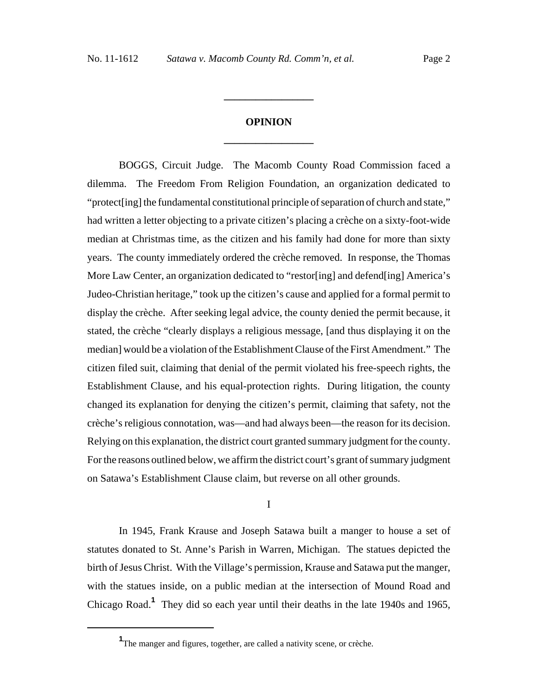# **OPINION \_\_\_\_\_\_\_\_\_\_\_\_\_\_\_\_\_**

**\_\_\_\_\_\_\_\_\_\_\_\_\_\_\_\_\_**

BOGGS, Circuit Judge. The Macomb County Road Commission faced a dilemma. The Freedom From Religion Foundation, an organization dedicated to "protect[ing] the fundamental constitutional principle of separation of church and state," had written a letter objecting to a private citizen's placing a crèche on a sixty-foot-wide median at Christmas time, as the citizen and his family had done for more than sixty years. The county immediately ordered the crèche removed. In response, the Thomas More Law Center, an organization dedicated to "restor[ing] and defend[ing] America's Judeo-Christian heritage," took up the citizen's cause and applied for a formal permit to display the crèche. After seeking legal advice, the county denied the permit because, it stated, the crèche "clearly displays a religious message, [and thus displaying it on the median] would be a violation of the Establishment Clause of the First Amendment." The citizen filed suit, claiming that denial of the permit violated his free-speech rights, the Establishment Clause, and his equal-protection rights. During litigation, the county changed its explanation for denying the citizen's permit, claiming that safety, not the crèche's religious connotation, was—and had always been—the reason for its decision. Relying on this explanation, the district court granted summary judgment for the county. For the reasons outlined below, we affirm the district court's grant of summary judgment on Satawa's Establishment Clause claim, but reverse on all other grounds.

I

In 1945, Frank Krause and Joseph Satawa built a manger to house a set of statutes donated to St. Anne's Parish in Warren, Michigan. The statues depicted the birth of Jesus Christ. With the Village's permission, Krause and Satawa put the manger, with the statues inside, on a public median at the intersection of Mound Road and Chicago Road.**<sup>1</sup>** They did so each year until their deaths in the late 1940s and 1965,

**<sup>1</sup>** The manger and figures, together, are called a nativity scene, or crèche.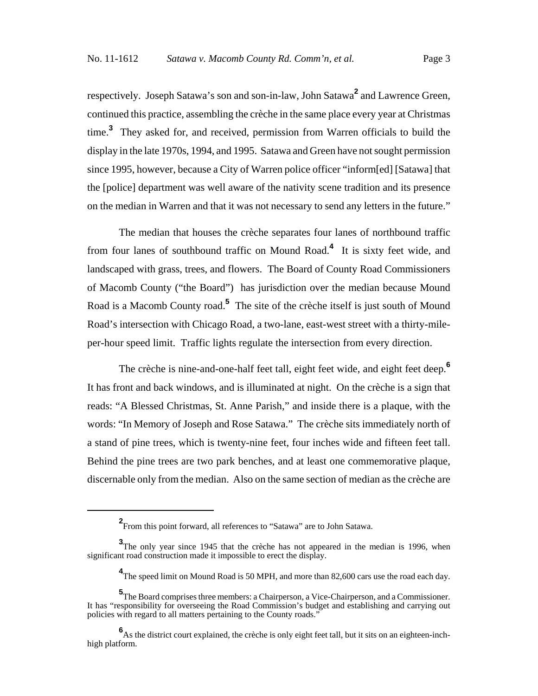respectively. Joseph Satawa's son and son-in-law, John Satawa**<sup>2</sup>** and Lawrence Green, continued this practice, assembling the crèche in the same place every year at Christmas time.**<sup>3</sup>** They asked for, and received, permission from Warren officials to build the display in the late 1970s, 1994, and 1995. Satawa and Green have not sought permission since 1995, however, because a City of Warren police officer "inform[ed] [Satawa] that the [police] department was well aware of the nativity scene tradition and its presence on the median in Warren and that it was not necessary to send any letters in the future."

The median that houses the crèche separates four lanes of northbound traffic from four lanes of southbound traffic on Mound Road.**<sup>4</sup>** It is sixty feet wide, and landscaped with grass, trees, and flowers. The Board of County Road Commissioners of Macomb County ("the Board") has jurisdiction over the median because Mound Road is a Macomb County road.**<sup>5</sup>** The site of the crèche itself is just south of Mound Road's intersection with Chicago Road, a two-lane, east-west street with a thirty-mileper-hour speed limit. Traffic lights regulate the intersection from every direction.

The crèche is nine-and-one-half feet tall, eight feet wide, and eight feet deep.**<sup>6</sup>** It has front and back windows, and is illuminated at night. On the crèche is a sign that reads: "A Blessed Christmas, St. Anne Parish," and inside there is a plaque, with the words: "In Memory of Joseph and Rose Satawa." The crèche sits immediately north of a stand of pine trees, which is twenty-nine feet, four inches wide and fifteen feet tall. Behind the pine trees are two park benches, and at least one commemorative plaque, discernable only from the median. Also on the same section of median as the crèche are

**<sup>2</sup>** From this point forward, all references to "Satawa" are to John Satawa.

**<sup>3</sup>** The only year since 1945 that the crèche has not appeared in the median is 1996, when significant road construction made it impossible to erect the display.

<sup>&</sup>lt;sup>4</sup>The speed limit on Mound Road is 50 MPH, and more than 82,600 cars use the road each day.

**<sup>5</sup>** The Board comprises three members: a Chairperson, a Vice-Chairperson, and a Commissioner. It has "responsibility for overseeing the Road Commission's budget and establishing and carrying out policies with regard to all matters pertaining to the County roads."

**<sup>6</sup>** As the district court explained, the crèche is only eight feet tall, but it sits on an eighteen-inchhigh platform.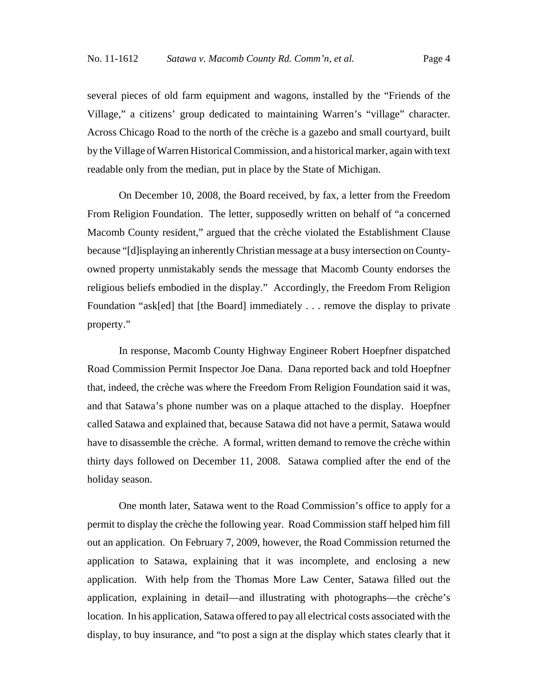several pieces of old farm equipment and wagons, installed by the "Friends of the Village," a citizens' group dedicated to maintaining Warren's "village" character. Across Chicago Road to the north of the crèche is a gazebo and small courtyard, built by the Village of Warren Historical Commission, and a historical marker, again with text readable only from the median, put in place by the State of Michigan.

On December 10, 2008, the Board received, by fax, a letter from the Freedom From Religion Foundation. The letter, supposedly written on behalf of "a concerned Macomb County resident," argued that the crèche violated the Establishment Clause because "[d]isplaying an inherently Christian message at a busy intersection on Countyowned property unmistakably sends the message that Macomb County endorses the religious beliefs embodied in the display." Accordingly, the Freedom From Religion Foundation "ask[ed] that [the Board] immediately . . . remove the display to private property."

In response, Macomb County Highway Engineer Robert Hoepfner dispatched Road Commission Permit Inspector Joe Dana. Dana reported back and told Hoepfner that, indeed, the crèche was where the Freedom From Religion Foundation said it was, and that Satawa's phone number was on a plaque attached to the display. Hoepfner called Satawa and explained that, because Satawa did not have a permit, Satawa would have to disassemble the crèche. A formal, written demand to remove the crèche within thirty days followed on December 11, 2008. Satawa complied after the end of the holiday season.

One month later, Satawa went to the Road Commission's office to apply for a permit to display the crèche the following year. Road Commission staff helped him fill out an application. On February 7, 2009, however, the Road Commission returned the application to Satawa, explaining that it was incomplete, and enclosing a new application. With help from the Thomas More Law Center, Satawa filled out the application, explaining in detail—and illustrating with photographs—the crèche's location. In his application, Satawa offered to pay all electrical costs associated with the display, to buy insurance, and "to post a sign at the display which states clearly that it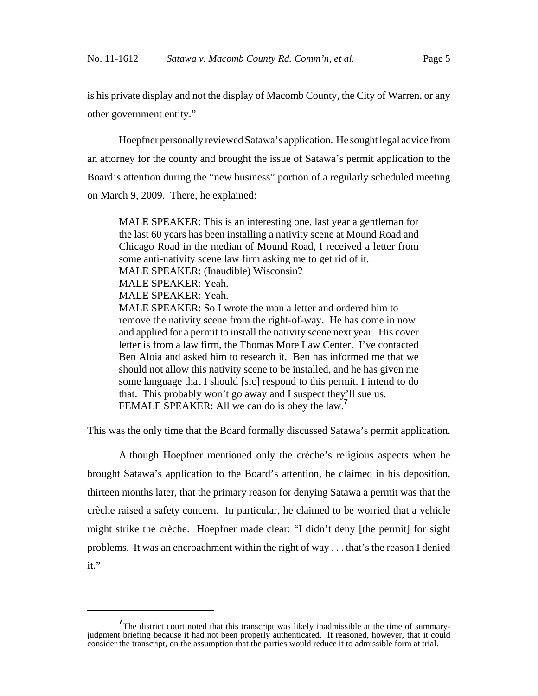is his private display and not the display of Macomb County, the City of Warren, or any other government entity."

Hoepfner personally reviewed Satawa's application. He sought legal advice from an attorney for the county and brought the issue of Satawa's permit application to the Board's attention during the "new business" portion of a regularly scheduled meeting on March 9, 2009. There, he explained:

MALE SPEAKER: This is an interesting one, last year a gentleman for the last 60 years has been installing a nativity scene at Mound Road and Chicago Road in the median of Mound Road, I received a letter from some anti-nativity scene law firm asking me to get rid of it. MALE SPEAKER: (Inaudible) Wisconsin? MALE SPEAKER: Yeah. MALE SPEAKER: Yeah. MALE SPEAKER: So I wrote the man a letter and ordered him to remove the nativity scene from the right-of-way. He has come in now and applied for a permit to install the nativity scene next year. His cover letter is from a law firm, the Thomas More Law Center. I've contacted Ben Aloia and asked him to research it. Ben has informed me that we should not allow this nativity scene to be installed, and he has given me some language that I should [sic] respond to this permit. I intend to do that. This probably won't go away and I suspect they'll sue us. FEMALE SPEAKER: All we can do is obey the law.**<sup>7</sup>**

This was the only time that the Board formally discussed Satawa's permit application.

Although Hoepfner mentioned only the crèche's religious aspects when he brought Satawa's application to the Board's attention, he claimed in his deposition, thirteen months later, that the primary reason for denying Satawa a permit was that the crèche raised a safety concern. In particular, he claimed to be worried that a vehicle might strike the crèche. Hoepfner made clear: "I didn't deny [the permit] for sight problems. It was an encroachment within the right of way . . . that's the reason I denied it."

**<sup>7</sup>** The district court noted that this transcript was likely inadmissible at the time of summaryjudgment briefing because it had not been properly authenticated. It reasoned, however, that it could consider the transcript, on the assumption that the parties would reduce it to admissible form at trial.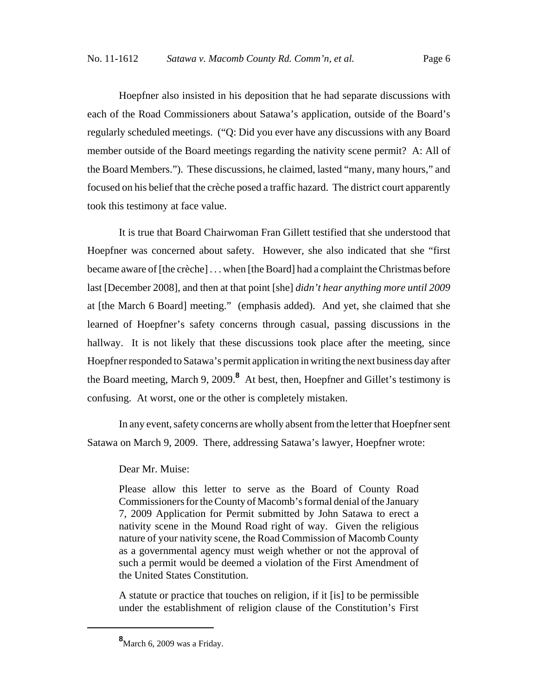Hoepfner also insisted in his deposition that he had separate discussions with each of the Road Commissioners about Satawa's application, outside of the Board's regularly scheduled meetings. ("Q: Did you ever have any discussions with any Board member outside of the Board meetings regarding the nativity scene permit? A: All of the Board Members."). These discussions, he claimed, lasted "many, many hours," and focused on his belief that the crèche posed a traffic hazard. The district court apparently took this testimony at face value.

It is true that Board Chairwoman Fran Gillett testified that she understood that Hoepfner was concerned about safety. However, she also indicated that she "first became aware of [the crèche] . . . when [the Board] had a complaint the Christmas before last [December 2008], and then at that point [she] *didn't hear anything more until 2009* at [the March 6 Board] meeting." (emphasis added). And yet, she claimed that she learned of Hoepfner's safety concerns through casual, passing discussions in the hallway. It is not likely that these discussions took place after the meeting, since Hoepfner responded to Satawa's permit application in writing the next business day after the Board meeting, March 9, 2009.**<sup>8</sup>** At best, then, Hoepfner and Gillet's testimony is confusing. At worst, one or the other is completely mistaken.

In any event, safety concerns are wholly absent from the letter that Hoepfner sent Satawa on March 9, 2009. There, addressing Satawa's lawyer, Hoepfner wrote:

Dear Mr. Muise:

Please allow this letter to serve as the Board of County Road Commissioners for the County of Macomb's formal denial of the January 7, 2009 Application for Permit submitted by John Satawa to erect a nativity scene in the Mound Road right of way. Given the religious nature of your nativity scene, the Road Commission of Macomb County as a governmental agency must weigh whether or not the approval of such a permit would be deemed a violation of the First Amendment of the United States Constitution.

A statute or practice that touches on religion, if it [is] to be permissible under the establishment of religion clause of the Constitution's First

**<sup>8</sup>** March 6, 2009 was a Friday.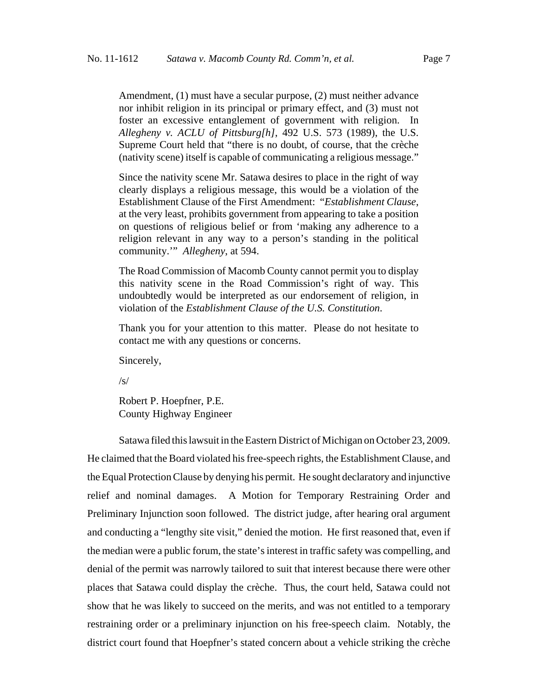Amendment, (1) must have a secular purpose, (2) must neither advance nor inhibit religion in its principal or primary effect, and (3) must not foster an excessive entanglement of government with religion. In *Allegheny v. ACLU of Pittsburg[h]*, 492 U.S. 573 (1989), the U.S. Supreme Court held that "there is no doubt, of course, that the crèche (nativity scene) itself is capable of communicating a religious message."

Since the nativity scene Mr. Satawa desires to place in the right of way clearly displays a religious message, this would be a violation of the Establishment Clause of the First Amendment: "*Establishment Clause*, at the very least, prohibits government from appearing to take a position on questions of religious belief or from 'making any adherence to a religion relevant in any way to a person's standing in the political community.'" *Allegheny*, at 594.

The Road Commission of Macomb County cannot permit you to display this nativity scene in the Road Commission's right of way. This undoubtedly would be interpreted as our endorsement of religion, in violation of the *Establishment Clause of the U.S. Constitution*.

Thank you for your attention to this matter. Please do not hesitate to contact me with any questions or concerns.

Sincerely,

 $\sqrt{s}$ 

Robert P. Hoepfner, P.E. County Highway Engineer

Satawa filed this lawsuit in the Eastern District of Michigan on October 23, 2009. He claimed that the Board violated his free-speech rights, the Establishment Clause, and the Equal Protection Clause by denying his permit. He sought declaratory and injunctive relief and nominal damages. A Motion for Temporary Restraining Order and Preliminary Injunction soon followed. The district judge, after hearing oral argument and conducting a "lengthy site visit," denied the motion. He first reasoned that, even if the median were a public forum, the state's interest in traffic safety was compelling, and denial of the permit was narrowly tailored to suit that interest because there were other places that Satawa could display the crèche. Thus, the court held, Satawa could not show that he was likely to succeed on the merits, and was not entitled to a temporary restraining order or a preliminary injunction on his free-speech claim. Notably, the district court found that Hoepfner's stated concern about a vehicle striking the crèche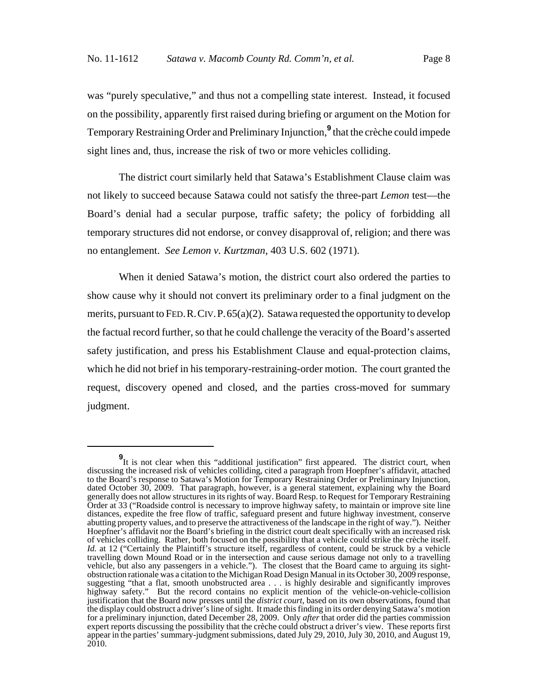was "purely speculative," and thus not a compelling state interest. Instead, it focused on the possibility, apparently first raised during briefing or argument on the Motion for Temporary Restraining Order and Preliminary Injunction,**<sup>9</sup>** that the crèche could impede sight lines and, thus, increase the risk of two or more vehicles colliding.

The district court similarly held that Satawa's Establishment Clause claim was not likely to succeed because Satawa could not satisfy the three-part *Lemon* test—the Board's denial had a secular purpose, traffic safety; the policy of forbidding all temporary structures did not endorse, or convey disapproval of, religion; and there was no entanglement. *See Lemon v. Kurtzman*, 403 U.S. 602 (1971).

When it denied Satawa's motion, the district court also ordered the parties to show cause why it should not convert its preliminary order to a final judgment on the merits, pursuant to FED.R.CIV.P.65(a)(2). Satawa requested the opportunity to develop the factual record further, so that he could challenge the veracity of the Board's asserted safety justification, and press his Establishment Clause and equal-protection claims, which he did not brief in his temporary-restraining-order motion. The court granted the request, discovery opened and closed, and the parties cross-moved for summary judgment.

**<sup>9</sup>**<br>It is not clear when this "additional justification" first appeared. The district court, when discussing the increased risk of vehicles colliding, cited a paragraph from Hoepfner's affidavit, attached to the Board's response to Satawa's Motion for Temporary Restraining Order or Preliminary Injunction, dated October 30, 2009. That paragraph, however, is a general statement, explaining why the Board generally does not allow structures in its rights of way. Board Resp. to Request for Temporary Restraining Order at 33 ("Roadside control is necessary to improve highway safety, to maintain or improve site line distances, expedite the free flow of traffic, safeguard present and future highway investment, conserve abutting property values, and to preserve the attractiveness of the landscape in the right of way."). Neither Hoepfner's affidavit nor the Board's briefing in the district court dealt specifically with an increased risk of vehicles colliding. Rather, both focused on the possibility that a vehicle could strike the crèche itself. *Id.* at 12 ("Certainly the Plaintiff's structure itself, regardless of content, could be struck by a vehicle travelling down Mound Road or in the intersection and cause serious damage not only to a travelling vehicle, but also any passengers in a vehicle."). The closest that the Board came to arguing its sightobstruction rationale was a citation to the Michigan Road Design Manual in its October 30, 2009 response, suggesting "that a flat, smooth unobstructed area . . . is highly desirable and significantly improves highway safety." But the record contains no explicit mention of the vehicle-on-vehicle-collision justification that the Board now presses until the *district court*, based on its own observations, found that the display could obstruct a driver's line of sight. It made this finding in its order denying Satawa's motion for a preliminary injunction, dated December 28, 2009. Only *after* that order did the parties commission expert reports discussing the possibility that the crèche could obstruct a driver's view. These reports first appear in the parties' summary-judgment submissions, dated July 29, 2010, July 30, 2010, and August 19, 2010.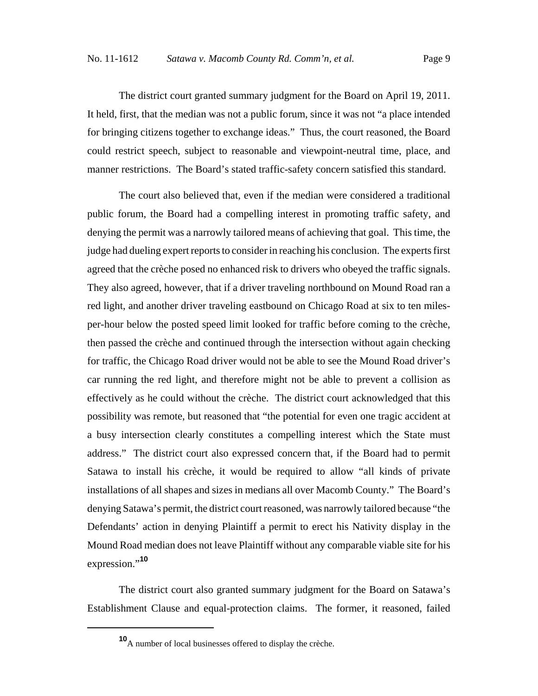The district court granted summary judgment for the Board on April 19, 2011. It held, first, that the median was not a public forum, since it was not "a place intended for bringing citizens together to exchange ideas." Thus, the court reasoned, the Board could restrict speech, subject to reasonable and viewpoint-neutral time, place, and manner restrictions. The Board's stated traffic-safety concern satisfied this standard.

The court also believed that, even if the median were considered a traditional public forum, the Board had a compelling interest in promoting traffic safety, and denying the permit was a narrowly tailored means of achieving that goal. This time, the judge had dueling expert reports to consider in reaching his conclusion. The experts first agreed that the crèche posed no enhanced risk to drivers who obeyed the traffic signals. They also agreed, however, that if a driver traveling northbound on Mound Road ran a red light, and another driver traveling eastbound on Chicago Road at six to ten milesper-hour below the posted speed limit looked for traffic before coming to the crèche, then passed the crèche and continued through the intersection without again checking for traffic, the Chicago Road driver would not be able to see the Mound Road driver's car running the red light, and therefore might not be able to prevent a collision as effectively as he could without the crèche. The district court acknowledged that this possibility was remote, but reasoned that "the potential for even one tragic accident at a busy intersection clearly constitutes a compelling interest which the State must address." The district court also expressed concern that, if the Board had to permit Satawa to install his crèche, it would be required to allow "all kinds of private installations of all shapes and sizes in medians all over Macomb County." The Board's denying Satawa's permit, the district court reasoned, was narrowly tailored because "the Defendants' action in denying Plaintiff a permit to erect his Nativity display in the Mound Road median does not leave Plaintiff without any comparable viable site for his expression."**<sup>10</sup>**

The district court also granted summary judgment for the Board on Satawa's Establishment Clause and equal-protection claims. The former, it reasoned, failed

**<sup>10</sup>**A number of local businesses offered to display the crèche.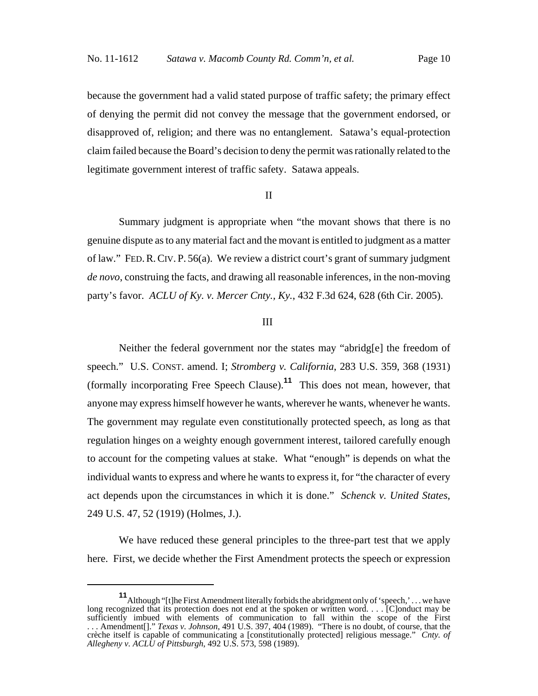because the government had a valid stated purpose of traffic safety; the primary effect of denying the permit did not convey the message that the government endorsed, or disapproved of, religion; and there was no entanglement. Satawa's equal-protection claim failed because the Board's decision to deny the permit was rationally related to the legitimate government interest of traffic safety. Satawa appeals.

## II

Summary judgment is appropriate when "the movant shows that there is no genuine dispute as to any material fact and the movant is entitled to judgment as a matter of law." FED.R.CIV. P. 56(a). We review a district court's grant of summary judgment *de novo*, construing the facts, and drawing all reasonable inferences, in the non-moving party's favor. *ACLU of Ky. v. Mercer Cnty., Ky.*, 432 F.3d 624, 628 (6th Cir. 2005).

#### III

Neither the federal government nor the states may "abridg[e] the freedom of speech." U.S. CONST. amend. I; *Stromberg v. California*, 283 U.S. 359, 368 (1931) (formally incorporating Free Speech Clause).**<sup>11</sup>** This does not mean, however, that anyone may express himself however he wants, wherever he wants, whenever he wants. The government may regulate even constitutionally protected speech, as long as that regulation hinges on a weighty enough government interest, tailored carefully enough to account for the competing values at stake. What "enough" is depends on what the individual wants to express and where he wants to express it, for "the character of every act depends upon the circumstances in which it is done." *Schenck v. United States*, 249 U.S. 47, 52 (1919) (Holmes, J.).

We have reduced these general principles to the three-part test that we apply here. First, we decide whether the First Amendment protects the speech or expression

**<sup>11</sup>** Although "[t]he First Amendment literally forbids the abridgment only of 'speech,'... we have long recognized that its protection does not end at the spoken or written word. . . . [C]onduct may be sufficiently imbued with elements of communication to fall within the scope of the First . . . Amendment[]." *Texas v. Johnson*, 491 U.S. 397, 404 (1989). "There is no doubt, of course, that the crèche itself is capable of communicating a [constitutionally protected] religious message." *Cnty. of Allegheny v. ACLU of Pittsburgh*, 492 U.S. 573, 598 (1989).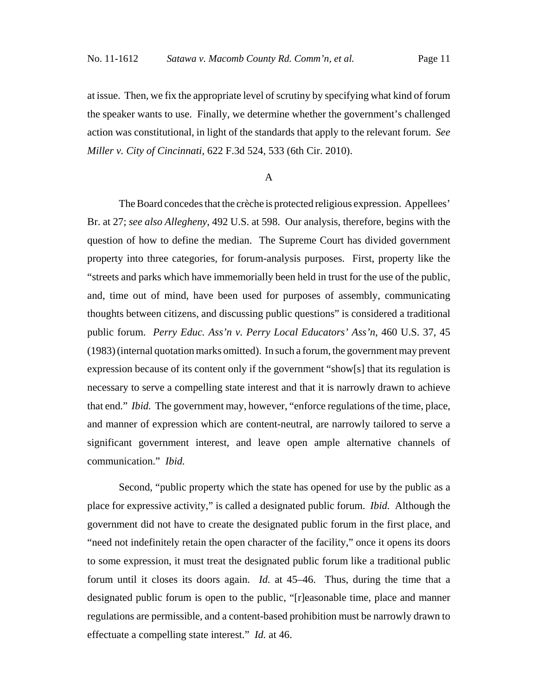at issue. Then, we fix the appropriate level of scrutiny by specifying what kind of forum the speaker wants to use. Finally, we determine whether the government's challenged action was constitutional, in light of the standards that apply to the relevant forum. *See Miller v. City of Cincinnati*, 622 F.3d 524, 533 (6th Cir. 2010).

# A

The Board concedes that the crèche is protected religious expression. Appellees' Br. at 27; *see also Allegheny*, 492 U.S. at 598. Our analysis, therefore, begins with the question of how to define the median. The Supreme Court has divided government property into three categories, for forum-analysis purposes. First, property like the "streets and parks which have immemorially been held in trust for the use of the public, and, time out of mind, have been used for purposes of assembly, communicating thoughts between citizens, and discussing public questions" is considered a traditional public forum. *Perry Educ. Ass'n v. Perry Local Educators' Ass'n*, 460 U.S. 37, 45 (1983) (internal quotation marks omitted). In such a forum, the government may prevent expression because of its content only if the government "show[s] that its regulation is necessary to serve a compelling state interest and that it is narrowly drawn to achieve that end." *Ibid.* The government may, however, "enforce regulations of the time, place, and manner of expression which are content-neutral, are narrowly tailored to serve a significant government interest, and leave open ample alternative channels of communication." *Ibid.*

Second, "public property which the state has opened for use by the public as a place for expressive activity," is called a designated public forum. *Ibid.* Although the government did not have to create the designated public forum in the first place, and "need not indefinitely retain the open character of the facility," once it opens its doors to some expression, it must treat the designated public forum like a traditional public forum until it closes its doors again. *Id.* at 45–46. Thus, during the time that a designated public forum is open to the public, "[r]easonable time, place and manner regulations are permissible, and a content-based prohibition must be narrowly drawn to effectuate a compelling state interest." *Id.* at 46.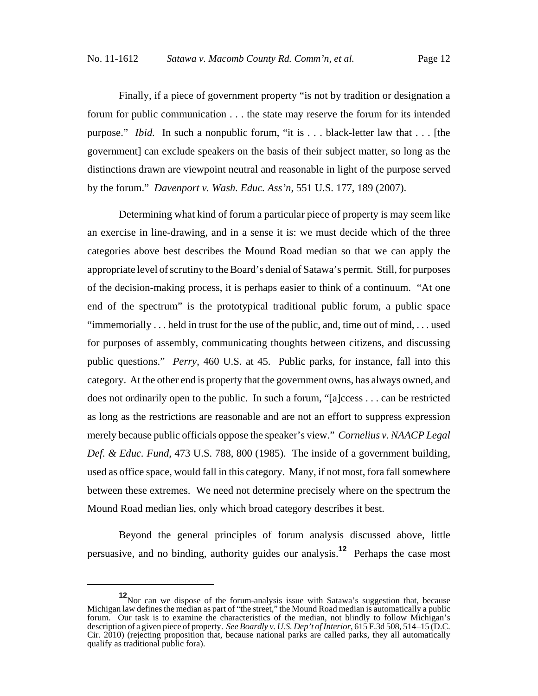Finally, if a piece of government property "is not by tradition or designation a forum for public communication . . . the state may reserve the forum for its intended purpose." *Ibid.* In such a nonpublic forum, "it is . . . black-letter law that . . . [the government] can exclude speakers on the basis of their subject matter, so long as the distinctions drawn are viewpoint neutral and reasonable in light of the purpose served by the forum." *Davenport v. Wash. Educ. Ass'n*, 551 U.S. 177, 189 (2007).

Determining what kind of forum a particular piece of property is may seem like an exercise in line-drawing, and in a sense it is: we must decide which of the three categories above best describes the Mound Road median so that we can apply the appropriate level of scrutiny to the Board's denial of Satawa's permit. Still, for purposes of the decision-making process, it is perhaps easier to think of a continuum. "At one end of the spectrum" is the prototypical traditional public forum, a public space "immemorially  $\dots$  held in trust for the use of the public, and, time out of mind,  $\dots$  used for purposes of assembly, communicating thoughts between citizens, and discussing public questions." *Perry*, 460 U.S. at 45. Public parks, for instance, fall into this category. At the other end is property that the government owns, has always owned, and does not ordinarily open to the public. In such a forum, "[a]ccess . . . can be restricted as long as the restrictions are reasonable and are not an effort to suppress expression merely because public officials oppose the speaker's view." *Cornelius v. NAACP Legal Def. & Educ. Fund*, 473 U.S. 788, 800 (1985). The inside of a government building, used as office space, would fall in this category. Many, if not most, fora fall somewhere between these extremes. We need not determine precisely where on the spectrum the Mound Road median lies, only which broad category describes it best.

Beyond the general principles of forum analysis discussed above, little persuasive, and no binding, authority guides our analysis.**<sup>12</sup>** Perhaps the case most

**<sup>12</sup>**Nor can we dispose of the forum-analysis issue with Satawa's suggestion that, because Michigan law defines the median as part of "the street," the Mound Road median is automatically a public forum. Our task is to examine the characteristics of the median, not blindly to follow Michigan's description of a given piece of property. *See Boardly v. U.S. Dep't of Interior*, 615 F.3d 508, 514–15 (D.C. Cir. 2010) (rejecting proposition that, because national parks are called parks, they all automatically qualify as traditional public fora).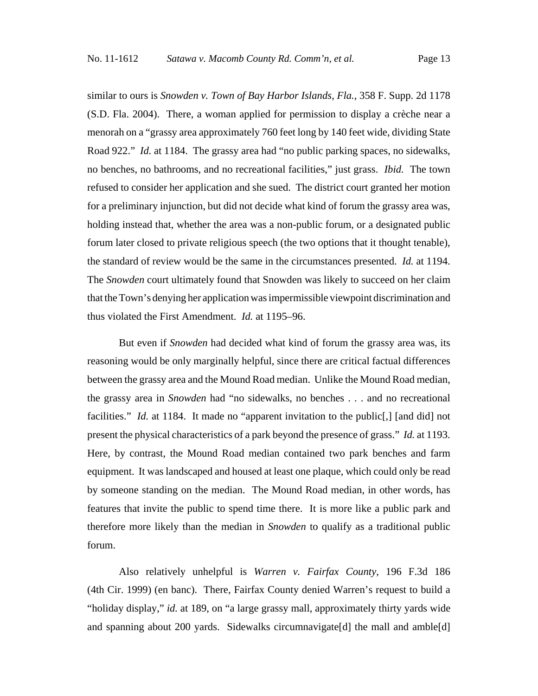similar to ours is *Snowden v. Town of Bay Harbor Islands, Fla.*, 358 F. Supp. 2d 1178 (S.D. Fla. 2004). There, a woman applied for permission to display a crèche near a menorah on a "grassy area approximately 760 feet long by 140 feet wide, dividing State Road 922." *Id.* at 1184. The grassy area had "no public parking spaces, no sidewalks, no benches, no bathrooms, and no recreational facilities," just grass. *Ibid.* The town refused to consider her application and she sued. The district court granted her motion for a preliminary injunction, but did not decide what kind of forum the grassy area was, holding instead that, whether the area was a non-public forum, or a designated public forum later closed to private religious speech (the two options that it thought tenable), the standard of review would be the same in the circumstances presented. *Id.* at 1194. The *Snowden* court ultimately found that Snowden was likely to succeed on her claim that the Town's denying her application was impermissible viewpoint discrimination and thus violated the First Amendment. *Id.* at 1195–96.

But even if *Snowden* had decided what kind of forum the grassy area was, its reasoning would be only marginally helpful, since there are critical factual differences between the grassy area and the Mound Road median. Unlike the Mound Road median, the grassy area in *Snowden* had "no sidewalks, no benches . . . and no recreational facilities." *Id.* at 1184. It made no "apparent invitation to the public<sup>[1]</sup>, [and did] not present the physical characteristics of a park beyond the presence of grass." *Id.* at 1193. Here, by contrast, the Mound Road median contained two park benches and farm equipment. It was landscaped and housed at least one plaque, which could only be read by someone standing on the median. The Mound Road median, in other words, has features that invite the public to spend time there. It is more like a public park and therefore more likely than the median in *Snowden* to qualify as a traditional public forum.

Also relatively unhelpful is *Warren v. Fairfax County*, 196 F.3d 186 (4th Cir. 1999) (en banc). There, Fairfax County denied Warren's request to build a "holiday display," *id.* at 189, on "a large grassy mall, approximately thirty yards wide and spanning about 200 yards. Sidewalks circumnavigate[d] the mall and amble[d]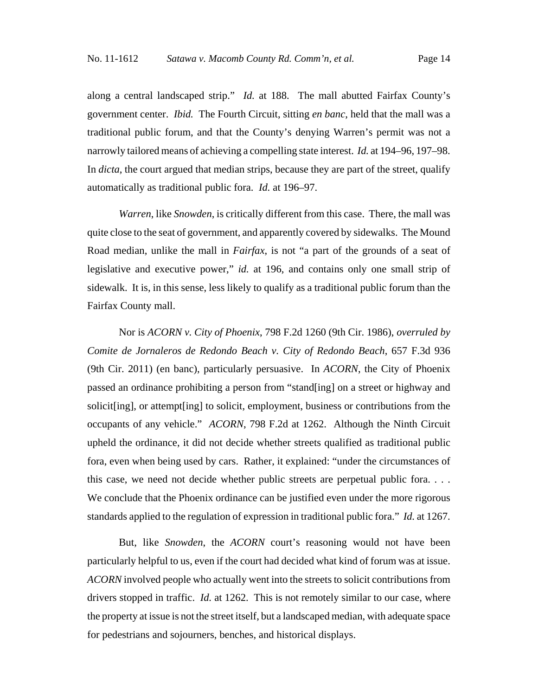along a central landscaped strip." *Id.* at 188. The mall abutted Fairfax County's government center. *Ibid.* The Fourth Circuit, sitting *en banc*, held that the mall was a traditional public forum, and that the County's denying Warren's permit was not a narrowly tailored means of achieving a compelling state interest. *Id.* at 194–96, 197–98. In *dicta*, the court argued that median strips, because they are part of the street, qualify automatically as traditional public fora. *Id.* at 196–97.

*Warren*, like *Snowden*, is critically different from this case. There, the mall was quite close to the seat of government, and apparently covered by sidewalks. The Mound Road median, unlike the mall in *Fairfax*, is not "a part of the grounds of a seat of legislative and executive power," *id.* at 196, and contains only one small strip of sidewalk. It is, in this sense, less likely to qualify as a traditional public forum than the Fairfax County mall.

Nor is *ACORN v. City of Phoenix*, 798 F.2d 1260 (9th Cir. 1986), *overruled by Comite de Jornaleros de Redondo Beach v. City of Redondo Beach*, 657 F.3d 936 (9th Cir. 2011) (en banc), particularly persuasive. In *ACORN*, the City of Phoenix passed an ordinance prohibiting a person from "stand[ing] on a street or highway and solicit[ing], or attempt[ing] to solicit, employment, business or contributions from the occupants of any vehicle." *ACORN*, 798 F.2d at 1262. Although the Ninth Circuit upheld the ordinance, it did not decide whether streets qualified as traditional public fora, even when being used by cars. Rather, it explained: "under the circumstances of this case, we need not decide whether public streets are perpetual public fora. . . . We conclude that the Phoenix ordinance can be justified even under the more rigorous standards applied to the regulation of expression in traditional public fora." *Id.* at 1267.

But, like *Snowden*, the *ACORN* court's reasoning would not have been particularly helpful to us, even if the court had decided what kind of forum was at issue. *ACORN* involved people who actually went into the streets to solicit contributions from drivers stopped in traffic. *Id.* at 1262. This is not remotely similar to our case, where the property at issue is not the street itself, but a landscaped median, with adequate space for pedestrians and sojourners, benches, and historical displays.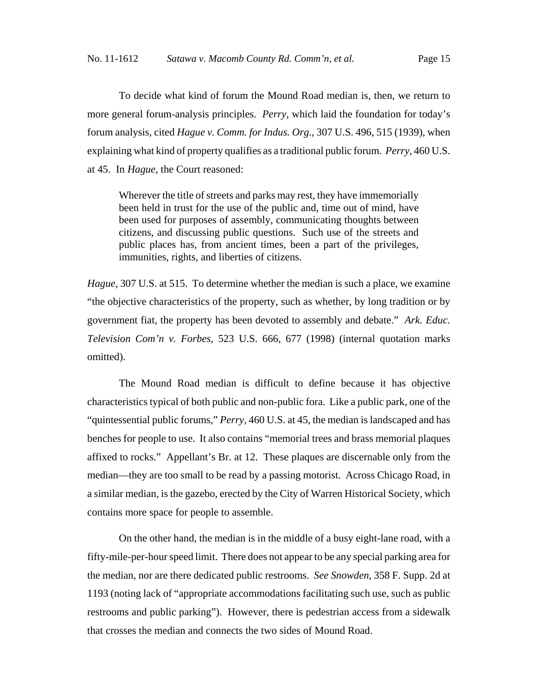To decide what kind of forum the Mound Road median is, then, we return to more general forum-analysis principles. *Perry*, which laid the foundation for today's forum analysis, cited *Hague v. Comm. for Indus. Org.*, 307 U.S. 496, 515 (1939), when explaining what kind of property qualifies as a traditional public forum. *Perry*, 460 U.S. at 45. In *Hague*, the Court reasoned:

Wherever the title of streets and parks may rest, they have immemorially been held in trust for the use of the public and, time out of mind, have been used for purposes of assembly, communicating thoughts between citizens, and discussing public questions. Such use of the streets and public places has, from ancient times, been a part of the privileges, immunities, rights, and liberties of citizens.

*Hague*, 307 U.S. at 515. To determine whether the median is such a place, we examine "the objective characteristics of the property, such as whether, by long tradition or by government fiat, the property has been devoted to assembly and debate." *Ark. Educ. Television Com'n v. Forbes*, 523 U.S. 666, 677 (1998) (internal quotation marks omitted).

The Mound Road median is difficult to define because it has objective characteristics typical of both public and non-public fora. Like a public park, one of the "quintessential public forums," *Perry*, 460 U.S. at 45, the median is landscaped and has benches for people to use. It also contains "memorial trees and brass memorial plaques affixed to rocks." Appellant's Br. at 12. These plaques are discernable only from the median—they are too small to be read by a passing motorist. Across Chicago Road, in a similar median, is the gazebo, erected by the City of Warren Historical Society, which contains more space for people to assemble.

On the other hand, the median is in the middle of a busy eight-lane road, with a fifty-mile-per-hour speed limit. There does not appear to be any special parking area for the median, nor are there dedicated public restrooms. *See Snowden*, 358 F. Supp. 2d at 1193 (noting lack of "appropriate accommodations facilitating such use, such as public restrooms and public parking"). However, there is pedestrian access from a sidewalk that crosses the median and connects the two sides of Mound Road.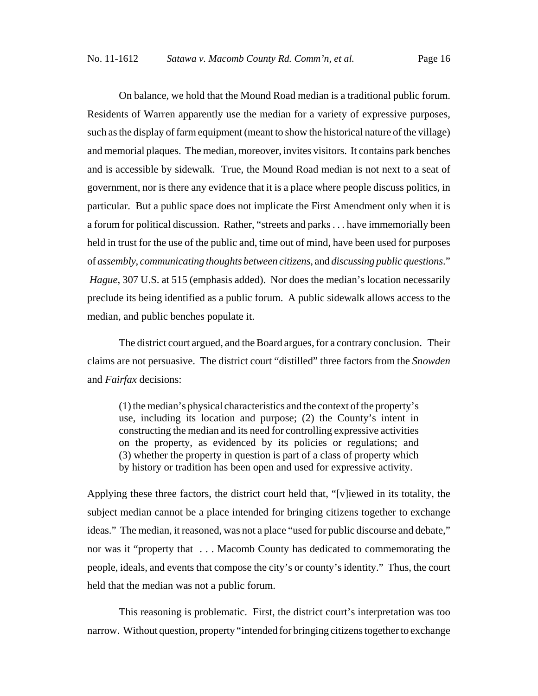On balance, we hold that the Mound Road median is a traditional public forum. Residents of Warren apparently use the median for a variety of expressive purposes, such as the display of farm equipment (meant to show the historical nature of the village) and memorial plaques. The median, moreover, invites visitors. It contains park benches and is accessible by sidewalk. True, the Mound Road median is not next to a seat of government, nor is there any evidence that it is a place where people discuss politics, in particular. But a public space does not implicate the First Amendment only when it is a forum for political discussion. Rather, "streets and parks . . . have immemorially been held in trust for the use of the public and, time out of mind, have been used for purposes of *assembly*, *communicating thoughts between citizens*, and *discussing public questions*."  *Hague*, 307 U.S. at 515 (emphasis added). Nor does the median's location necessarily preclude its being identified as a public forum. A public sidewalk allows access to the median, and public benches populate it.

The district court argued, and the Board argues, for a contrary conclusion. Their claims are not persuasive. The district court "distilled" three factors from the *Snowden* and *Fairfax* decisions:

(1) the median's physical characteristics and the context of the property's use, including its location and purpose; (2) the County's intent in constructing the median and its need for controlling expressive activities on the property, as evidenced by its policies or regulations; and (3) whether the property in question is part of a class of property which by history or tradition has been open and used for expressive activity.

Applying these three factors, the district court held that, "[v]iewed in its totality, the subject median cannot be a place intended for bringing citizens together to exchange ideas." The median, it reasoned, was not a place "used for public discourse and debate," nor was it "property that . . . Macomb County has dedicated to commemorating the people, ideals, and events that compose the city's or county's identity." Thus, the court held that the median was not a public forum.

This reasoning is problematic. First, the district court's interpretation was too narrow. Without question, property "intended for bringing citizens together to exchange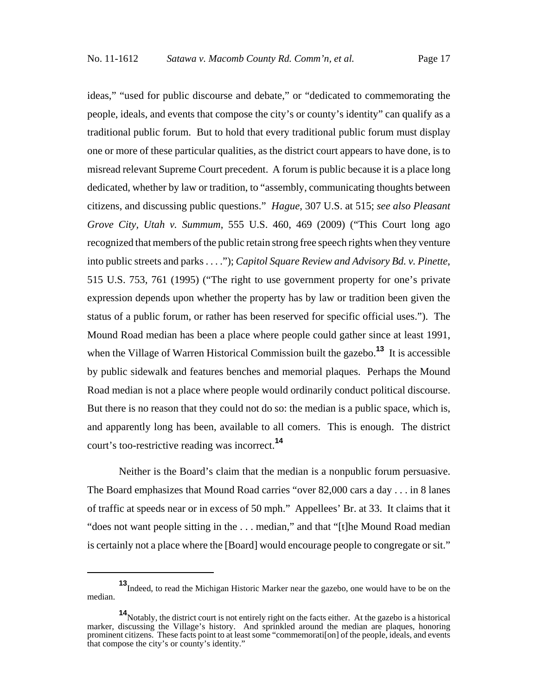ideas," "used for public discourse and debate," or "dedicated to commemorating the people, ideals, and events that compose the city's or county's identity" can qualify as a traditional public forum. But to hold that every traditional public forum must display one or more of these particular qualities, as the district court appears to have done, is to misread relevant Supreme Court precedent. A forum is public because it is a place long dedicated, whether by law or tradition, to "assembly, communicating thoughts between citizens, and discussing public questions." *Hague*, 307 U.S. at 515; *see also Pleasant Grove City, Utah v. Summum*, 555 U.S. 460, 469 (2009) ("This Court long ago recognized that members of the public retain strong free speech rights when they venture into public streets and parks . . . ."); *Capitol Square Review and Advisory Bd. v. Pinette*, 515 U.S. 753, 761 (1995) ("The right to use government property for one's private expression depends upon whether the property has by law or tradition been given the status of a public forum, or rather has been reserved for specific official uses."). The Mound Road median has been a place where people could gather since at least 1991, when the Village of Warren Historical Commission built the gazebo.**<sup>13</sup>** It is accessible by public sidewalk and features benches and memorial plaques. Perhaps the Mound Road median is not a place where people would ordinarily conduct political discourse. But there is no reason that they could not do so: the median is a public space, which is, and apparently long has been, available to all comers. This is enough. The district court's too-restrictive reading was incorrect.**<sup>14</sup>**

Neither is the Board's claim that the median is a nonpublic forum persuasive. The Board emphasizes that Mound Road carries "over 82,000 cars a day . . . in 8 lanes of traffic at speeds near or in excess of 50 mph." Appellees' Br. at 33. It claims that it "does not want people sitting in the . . . median," and that "[t]he Mound Road median is certainly not a place where the [Board] would encourage people to congregate or sit."

**<sup>13</sup>**Indeed, to read the Michigan Historic Marker near the gazebo, one would have to be on the median.

**<sup>14</sup>**Notably, the district court is not entirely right on the facts either. At the gazebo is a historical marker, discussing the Village's history. And sprinkled around the median are plaques, honoring prominent citizens. These facts point to at least some "commemorati[on] of the people, ideals, and events that compose the city's or county's identity."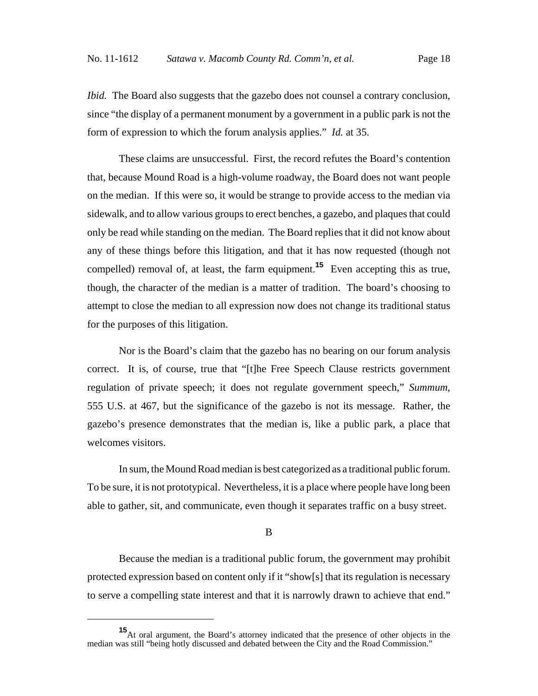*Ibid.* The Board also suggests that the gazebo does not counsel a contrary conclusion, since "the display of a permanent monument by a government in a public park is not the form of expression to which the forum analysis applies." *Id.* at 35.

These claims are unsuccessful. First, the record refutes the Board's contention that, because Mound Road is a high-volume roadway, the Board does not want people on the median. If this were so, it would be strange to provide access to the median via sidewalk, and to allow various groups to erect benches, a gazebo, and plaques that could only be read while standing on the median. The Board replies that it did not know about any of these things before this litigation, and that it has now requested (though not compelled) removal of, at least, the farm equipment.**<sup>15</sup>** Even accepting this as true, though, the character of the median is a matter of tradition. The board's choosing to attempt to close the median to all expression now does not change its traditional status for the purposes of this litigation.

Nor is the Board's claim that the gazebo has no bearing on our forum analysis correct. It is, of course, true that "[t]he Free Speech Clause restricts government regulation of private speech; it does not regulate government speech," *Summum*, 555 U.S. at 467, but the significance of the gazebo is not its message. Rather, the gazebo's presence demonstrates that the median is, like a public park, a place that welcomes visitors.

In sum, the Mound Road median is best categorized as a traditional public forum. To be sure, it is not prototypical. Nevertheless, it is a place where people have long been able to gather, sit, and communicate, even though it separates traffic on a busy street.

#### B

Because the median is a traditional public forum, the government may prohibit protected expression based on content only if it "show[s] that its regulation is necessary to serve a compelling state interest and that it is narrowly drawn to achieve that end."

**<sup>15</sup>**At oral argument, the Board's attorney indicated that the presence of other objects in the median was still "being hotly discussed and debated between the City and the Road Commission."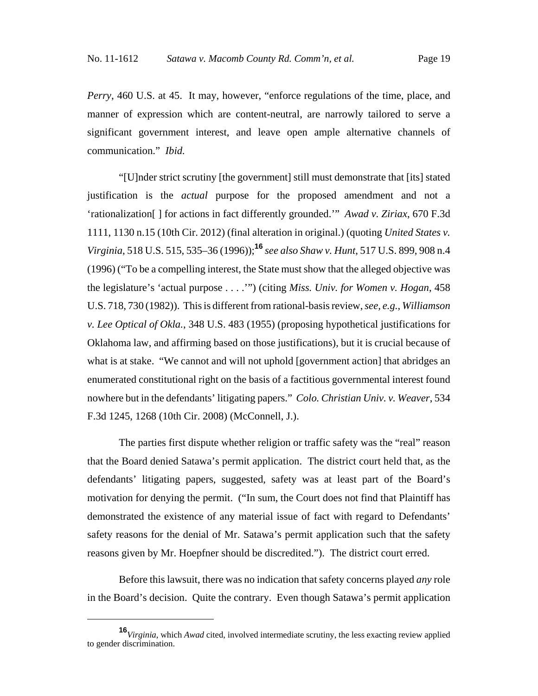*Perry*, 460 U.S. at 45. It may, however, "enforce regulations of the time, place, and manner of expression which are content-neutral, are narrowly tailored to serve a significant government interest, and leave open ample alternative channels of communication." *Ibid.*

"[U]nder strict scrutiny [the government] still must demonstrate that [its] stated justification is the *actual* purpose for the proposed amendment and not a 'rationalization[ ] for actions in fact differently grounded.'" *Awad v. Ziriax*, 670 F.3d 1111, 1130 n.15 (10th Cir. 2012) (final alteration in original.) (quoting *United States v. Virginia*, 518 U.S. 515, 535–36 (1996));**<sup>16</sup>** *see also Shaw v. Hunt*, 517 U.S. 899, 908 n.4 (1996) ("To be a compelling interest, the State must show that the alleged objective was the legislature's 'actual purpose . . . .'") (citing *Miss. Univ. for Women v. Hogan*, 458 U.S. 718, 730 (1982)). This is different from rational-basis review, *see, e.g.*, *Williamson v. Lee Optical of Okla.*, 348 U.S. 483 (1955) (proposing hypothetical justifications for Oklahoma law, and affirming based on those justifications), but it is crucial because of what is at stake. "We cannot and will not uphold [government action] that abridges an enumerated constitutional right on the basis of a factitious governmental interest found nowhere but in the defendants' litigating papers." *Colo. Christian Univ. v. Weaver*, 534 F.3d 1245, 1268 (10th Cir. 2008) (McConnell, J.).

The parties first dispute whether religion or traffic safety was the "real" reason that the Board denied Satawa's permit application. The district court held that, as the defendants' litigating papers, suggested, safety was at least part of the Board's motivation for denying the permit. ("In sum, the Court does not find that Plaintiff has demonstrated the existence of any material issue of fact with regard to Defendants' safety reasons for the denial of Mr. Satawa's permit application such that the safety reasons given by Mr. Hoepfner should be discredited."). The district court erred.

Before this lawsuit, there was no indication that safety concerns played *any* role in the Board's decision. Quite the contrary. Even though Satawa's permit application

**<sup>16</sup>***Virginia*, which *Awad* cited, involved intermediate scrutiny, the less exacting review applied to gender discrimination.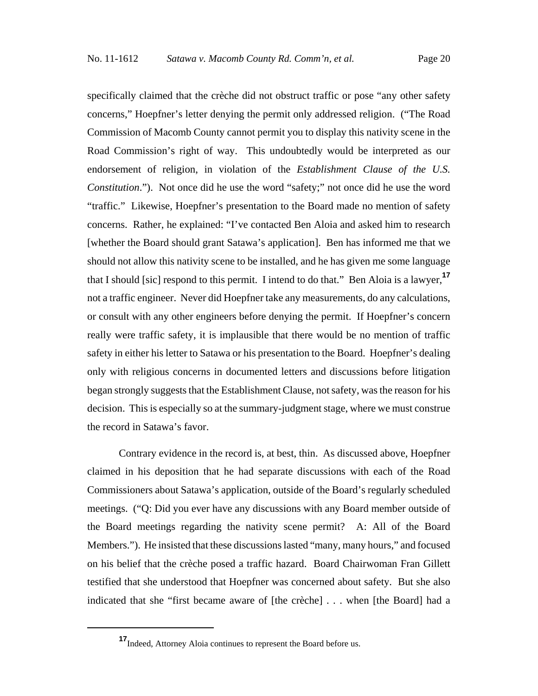specifically claimed that the crèche did not obstruct traffic or pose "any other safety concerns," Hoepfner's letter denying the permit only addressed religion. ("The Road Commission of Macomb County cannot permit you to display this nativity scene in the Road Commission's right of way. This undoubtedly would be interpreted as our endorsement of religion, in violation of the *Establishment Clause of the U.S. Constitution*."). Not once did he use the word "safety;" not once did he use the word "traffic." Likewise, Hoepfner's presentation to the Board made no mention of safety concerns. Rather, he explained: "I've contacted Ben Aloia and asked him to research [whether the Board should grant Satawa's application]. Ben has informed me that we should not allow this nativity scene to be installed, and he has given me some language that I should [sic] respond to this permit. I intend to do that." Ben Aloia is a lawyer,**<sup>17</sup>** not a traffic engineer. Never did Hoepfner take any measurements, do any calculations, or consult with any other engineers before denying the permit. If Hoepfner's concern really were traffic safety, it is implausible that there would be no mention of traffic safety in either his letter to Satawa or his presentation to the Board. Hoepfner's dealing only with religious concerns in documented letters and discussions before litigation began strongly suggests that the Establishment Clause, not safety, was the reason for his decision. This is especially so at the summary-judgment stage, where we must construe the record in Satawa's favor.

Contrary evidence in the record is, at best, thin. As discussed above, Hoepfner claimed in his deposition that he had separate discussions with each of the Road Commissioners about Satawa's application, outside of the Board's regularly scheduled meetings. ("Q: Did you ever have any discussions with any Board member outside of the Board meetings regarding the nativity scene permit? A: All of the Board Members."). He insisted that these discussions lasted "many, many hours," and focused on his belief that the crèche posed a traffic hazard. Board Chairwoman Fran Gillett testified that she understood that Hoepfner was concerned about safety. But she also indicated that she "first became aware of [the crèche] . . . when [the Board] had a

**<sup>17</sup>**Indeed, Attorney Aloia continues to represent the Board before us.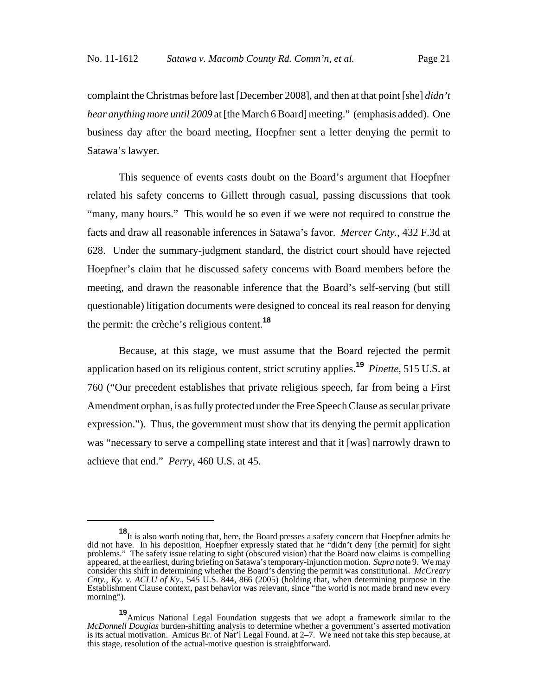complaint the Christmas before last [December 2008], and then at that point [she] *didn't hear anything more until 2009* at [the March 6 Board] meeting." (emphasis added). One business day after the board meeting, Hoepfner sent a letter denying the permit to Satawa's lawyer.

This sequence of events casts doubt on the Board's argument that Hoepfner related his safety concerns to Gillett through casual, passing discussions that took "many, many hours." This would be so even if we were not required to construe the facts and draw all reasonable inferences in Satawa's favor. *Mercer Cnty.*, 432 F.3d at 628. Under the summary-judgment standard, the district court should have rejected Hoepfner's claim that he discussed safety concerns with Board members before the meeting, and drawn the reasonable inference that the Board's self-serving (but still questionable) litigation documents were designed to conceal its real reason for denying the permit: the crèche's religious content.**<sup>18</sup>**

Because, at this stage, we must assume that the Board rejected the permit application based on its religious content, strict scrutiny applies.**<sup>19</sup>** *Pinette*, 515 U.S. at 760 ("Our precedent establishes that private religious speech, far from being a First Amendment orphan, is as fully protected under the Free Speech Clause as secular private expression."). Thus, the government must show that its denying the permit application was "necessary to serve a compelling state interest and that it [was] narrowly drawn to achieve that end." *Perry*, 460 U.S. at 45.

**<sup>18</sup>**It is also worth noting that, here, the Board presses a safety concern that Hoepfner admits he did not have. In his deposition, Hoepfner expressly stated that he "didn't deny [the permit] for sight problems." The safety issue relating to sight (obscured vision) that the Board now claims is compelling appeared, at the earliest, during briefing on Satawa's temporary-injunction motion. *Supra* note 9. We may consider this shift in determining whether the Board's denying the permit was constitutional. *McCreary Cnty., Ky. v. ACLU of Ky.*, 545 U.S. 844, 866 (2005) (holding that, when determining purpose in the Establishment Clause context, past behavior was relevant, since "the world is not made brand new every morning").

**<sup>19</sup>**Amicus National Legal Foundation suggests that we adopt a framework similar to the *McDonnell Douglas* burden-shifting analysis to determine whether a government's asserted motivation is its actual motivation. Amicus Br. of Nat'l Legal Found. at 2–7. We need not take this step because, at this stage, resolution of the actual-motive question is straightforward.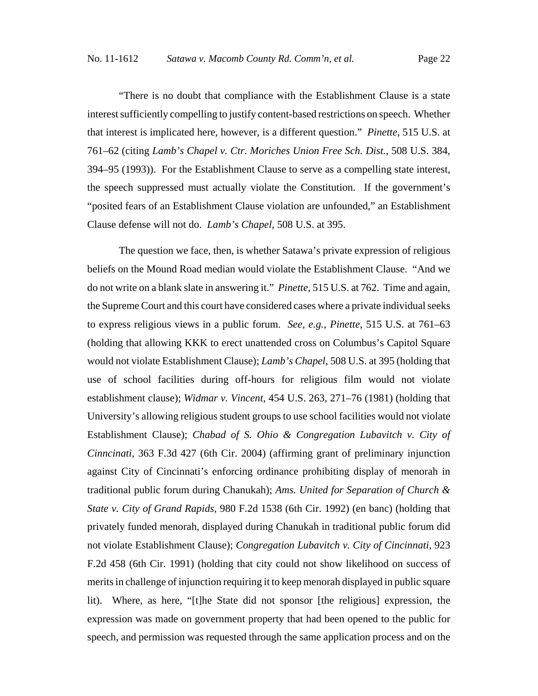"There is no doubt that compliance with the Establishment Clause is a state interest sufficiently compelling to justify content-based restrictions on speech. Whether that interest is implicated here, however, is a different question." *Pinette*, 515 U.S. at 761–62 (citing *Lamb's Chapel v. Ctr. Moriches Union Free Sch. Dist.*, 508 U.S. 384, 394–95 (1993)). For the Establishment Clause to serve as a compelling state interest, the speech suppressed must actually violate the Constitution. If the government's "posited fears of an Establishment Clause violation are unfounded," an Establishment Clause defense will not do. *Lamb's Chapel*, 508 U.S. at 395.

The question we face, then, is whether Satawa's private expression of religious beliefs on the Mound Road median would violate the Establishment Clause. "And we do not write on a blank slate in answering it." *Pinette*, 515 U.S. at 762. Time and again, the Supreme Court and this court have considered cases where a private individual seeks to express religious views in a public forum. *See, e.g.*, *Pinette*, 515 U.S. at 761–63 (holding that allowing KKK to erect unattended cross on Columbus's Capitol Square would not violate Establishment Clause); *Lamb's Chapel*, 508 U.S. at 395 (holding that use of school facilities during off-hours for religious film would not violate establishment clause); *Widmar v. Vincent*, 454 U.S. 263, 271–76 (1981) (holding that University's allowing religious student groups to use school facilities would not violate Establishment Clause); *Chabad of S. Ohio & Congregation Lubavitch v. City of Cinncinati*, 363 F.3d 427 (6th Cir. 2004) (affirming grant of preliminary injunction against City of Cincinnati's enforcing ordinance prohibiting display of menorah in traditional public forum during Chanukah); *Ams. United for Separation of Church & State v. City of Grand Rapids*, 980 F.2d 1538 (6th Cir. 1992) (en banc) (holding that privately funded menorah, displayed during Chanukah in traditional public forum did not violate Establishment Clause); *Congregation Lubavitch v. City of Cincinnati*, 923 F.2d 458 (6th Cir. 1991) (holding that city could not show likelihood on success of merits in challenge of injunction requiring it to keep menorah displayed in public square lit). Where, as here, "[t]he State did not sponsor [the religious] expression, the expression was made on government property that had been opened to the public for speech, and permission was requested through the same application process and on the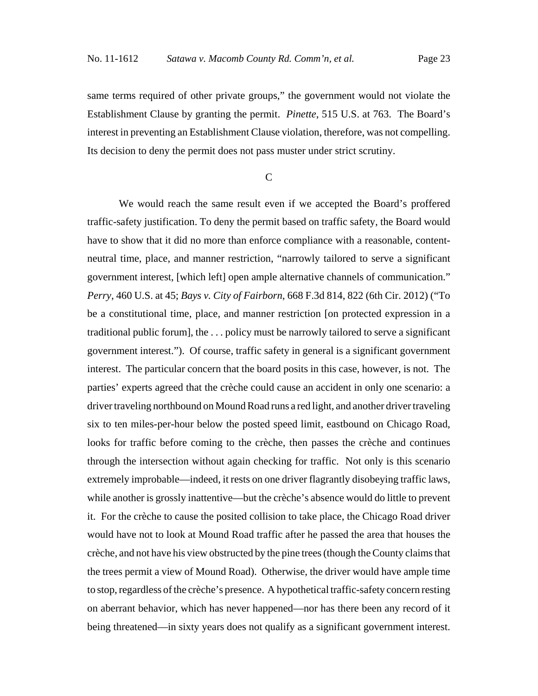same terms required of other private groups," the government would not violate the Establishment Clause by granting the permit. *Pinette*, 515 U.S. at 763. The Board's interest in preventing an Establishment Clause violation, therefore, was not compelling. Its decision to deny the permit does not pass muster under strict scrutiny.

 $\overline{C}$ 

We would reach the same result even if we accepted the Board's proffered traffic-safety justification. To deny the permit based on traffic safety, the Board would have to show that it did no more than enforce compliance with a reasonable, contentneutral time, place, and manner restriction, "narrowly tailored to serve a significant government interest, [which left] open ample alternative channels of communication." *Perry*, 460 U.S. at 45; *Bays v. City of Fairborn*, 668 F.3d 814, 822 (6th Cir. 2012) ("To be a constitutional time, place, and manner restriction [on protected expression in a traditional public forum], the . . . policy must be narrowly tailored to serve a significant government interest."). Of course, traffic safety in general is a significant government interest. The particular concern that the board posits in this case, however, is not. The parties' experts agreed that the crèche could cause an accident in only one scenario: a driver traveling northbound on Mound Road runs a red light, and another driver traveling six to ten miles-per-hour below the posted speed limit, eastbound on Chicago Road, looks for traffic before coming to the crèche, then passes the crèche and continues through the intersection without again checking for traffic. Not only is this scenario extremely improbable—indeed, it rests on one driver flagrantly disobeying traffic laws, while another is grossly inattentive—but the crèche's absence would do little to prevent it. For the crèche to cause the posited collision to take place, the Chicago Road driver would have not to look at Mound Road traffic after he passed the area that houses the crèche, and not have his view obstructed by the pine trees (though the County claims that the trees permit a view of Mound Road). Otherwise, the driver would have ample time to stop, regardless of the crèche's presence. A hypothetical traffic-safety concern resting on aberrant behavior, which has never happened—nor has there been any record of it being threatened—in sixty years does not qualify as a significant government interest.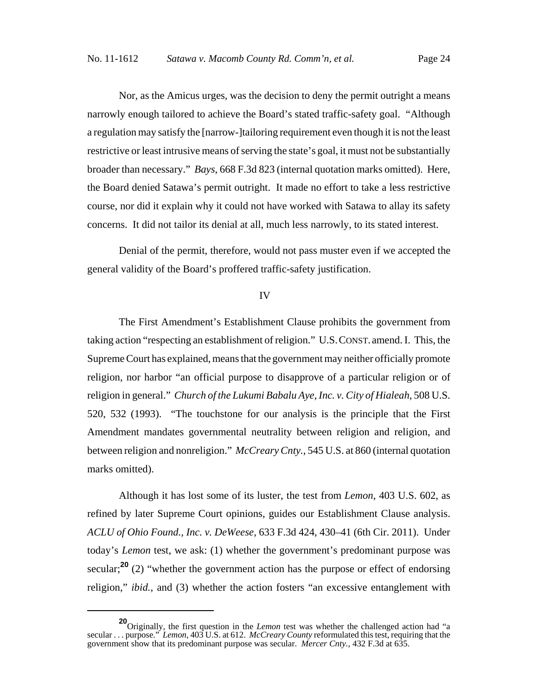Nor, as the Amicus urges, was the decision to deny the permit outright a means narrowly enough tailored to achieve the Board's stated traffic-safety goal. "Although a regulation may satisfy the [narrow-]tailoring requirement even though it is not the least restrictive or least intrusive means of serving the state's goal, it must not be substantially broader than necessary." *Bays*, 668 F.3d 823 (internal quotation marks omitted). Here, the Board denied Satawa's permit outright. It made no effort to take a less restrictive course, nor did it explain why it could not have worked with Satawa to allay its safety concerns. It did not tailor its denial at all, much less narrowly, to its stated interest.

Denial of the permit, therefore, would not pass muster even if we accepted the general validity of the Board's proffered traffic-safety justification.

## IV

The First Amendment's Establishment Clause prohibits the government from taking action "respecting an establishment of religion." U.S.CONST. amend. I. This, the Supreme Court has explained, means that the government may neither officially promote religion, nor harbor "an official purpose to disapprove of a particular religion or of religion in general." *Church of the Lukumi Babalu Aye, Inc. v. City of Hialeah*, 508 U.S. 520, 532 (1993). "The touchstone for our analysis is the principle that the First Amendment mandates governmental neutrality between religion and religion, and between religion and nonreligion." *McCreary Cnty.*, 545 U.S. at 860 (internal quotation marks omitted).

Although it has lost some of its luster, the test from *Lemon*, 403 U.S. 602, as refined by later Supreme Court opinions, guides our Establishment Clause analysis. *ACLU of Ohio Found., Inc. v. DeWeese*, 633 F.3d 424, 430–41 (6th Cir. 2011). Under today's *Lemon* test, we ask: (1) whether the government's predominant purpose was secular;<sup>20</sup> (2) "whether the government action has the purpose or effect of endorsing religion," *ibid.*, and (3) whether the action fosters "an excessive entanglement with

**<sup>20</sup>**Originally, the first question in the *Lemon* test was whether the challenged action had "a secular . . . purpose." *Lemon*, 403 U.S. at 612. *McCreary County* reformulated this test, requiring that the government show that its predominant purpose was secular. *Mercer Cnty.*, 432 F.3d at 635.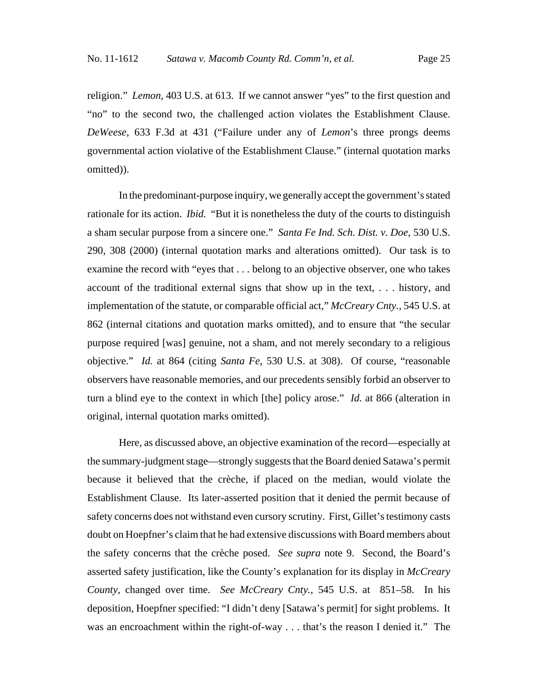religion." *Lemon*, 403 U.S. at 613. If we cannot answer "yes" to the first question and "no" to the second two, the challenged action violates the Establishment Clause. *DeWeese*, 633 F.3d at 431 ("Failure under any of *Lemon*'s three prongs deems governmental action violative of the Establishment Clause." (internal quotation marks omitted)).

In the predominant-purpose inquiry, we generally accept the government's stated rationale for its action. *Ibid.* "But it is nonetheless the duty of the courts to distinguish a sham secular purpose from a sincere one." *Santa Fe Ind. Sch. Dist. v. Doe*, 530 U.S. 290, 308 (2000) (internal quotation marks and alterations omitted). Our task is to examine the record with "eyes that . . . belong to an objective observer, one who takes account of the traditional external signs that show up in the text, . . . history, and implementation of the statute, or comparable official act," *McCreary Cnty.*, 545 U.S. at 862 (internal citations and quotation marks omitted), and to ensure that "the secular purpose required [was] genuine, not a sham, and not merely secondary to a religious objective." *Id.* at 864 (citing *Santa Fe*, 530 U.S. at 308). Of course, "reasonable observers have reasonable memories, and our precedents sensibly forbid an observer to turn a blind eye to the context in which [the] policy arose." *Id.* at 866 (alteration in original, internal quotation marks omitted).

Here, as discussed above, an objective examination of the record—especially at the summary-judgment stage—strongly suggests that the Board denied Satawa's permit because it believed that the crèche, if placed on the median, would violate the Establishment Clause. Its later-asserted position that it denied the permit because of safety concerns does not withstand even cursory scrutiny. First, Gillet's testimony casts doubt on Hoepfner's claim that he had extensive discussions with Board members about the safety concerns that the crèche posed. *See supra* note 9. Second, the Board's asserted safety justification, like the County's explanation for its display in *McCreary County*, changed over time. *See McCreary Cnty.*, 545 U.S. at 851–58. In his deposition, Hoepfner specified: "I didn't deny [Satawa's permit] for sight problems. It was an encroachment within the right-of-way . . . that's the reason I denied it." The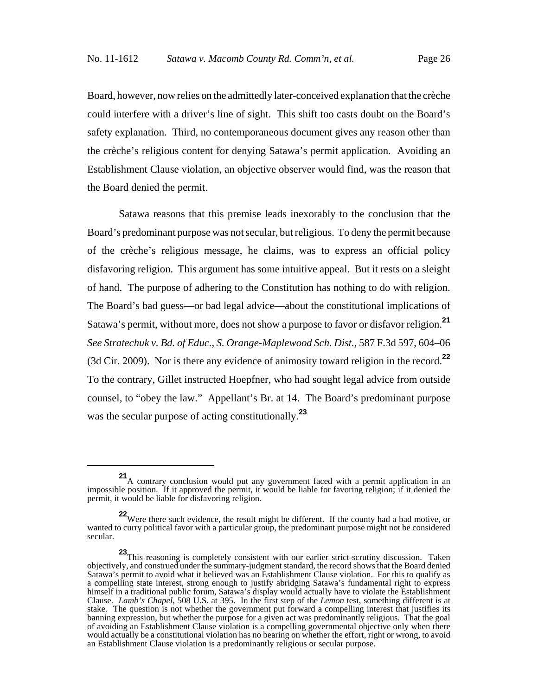Board, however, now relies on the admittedly later-conceived explanation that the crèche could interfere with a driver's line of sight. This shift too casts doubt on the Board's safety explanation. Third, no contemporaneous document gives any reason other than the crèche's religious content for denying Satawa's permit application. Avoiding an Establishment Clause violation, an objective observer would find, was the reason that the Board denied the permit.

Satawa reasons that this premise leads inexorably to the conclusion that the Board's predominant purpose was not secular, but religious. To deny the permit because of the crèche's religious message, he claims, was to express an official policy disfavoring religion. This argument has some intuitive appeal. But it rests on a sleight of hand. The purpose of adhering to the Constitution has nothing to do with religion. The Board's bad guess—or bad legal advice—about the constitutional implications of Satawa's permit, without more, does not show a purpose to favor or disfavor religion.**<sup>21</sup>** *See Stratechuk v. Bd. of Educ., S. Orange-Maplewood Sch. Dist.*, 587 F.3d 597, 604–06 (3d Cir. 2009). Nor is there any evidence of animosity toward religion in the record.**<sup>22</sup>** To the contrary, Gillet instructed Hoepfner, who had sought legal advice from outside counsel, to "obey the law." Appellant's Br. at 14. The Board's predominant purpose was the secular purpose of acting constitutionally.**<sup>23</sup>**

**<sup>21</sup>**A contrary conclusion would put any government faced with a permit application in an impossible position. If it approved the permit, it would be liable for favoring religion; if it denied the permit, it would be liable for disfavoring religion.

**<sup>22</sup>**Were there such evidence, the result might be different. If the county had a bad motive, or wanted to curry political favor with a particular group, the predominant purpose might not be considered secular.

**<sup>23</sup>**This reasoning is completely consistent with our earlier strict-scrutiny discussion. Taken objectively, and construed under the summary-judgment standard, the record shows that the Board denied Satawa's permit to avoid what it believed was an Establishment Clause violation. For this to qualify as a compelling state interest, strong enough to justify abridging Satawa's fundamental right to express himself in a traditional public forum, Satawa's display would actually have to violate the Establishment Clause. *Lamb's Chapel*, 508 U.S. at 395. In the first step of the *Lemon* test, something different is at stake. The question is not whether the government put forward a compelling interest that justifies its banning expression, but whether the purpose for a given act was predominantly religious. That the goal of avoiding an Establishment Clause violation is a compelling governmental objective only when there would actually be a constitutional violation has no bearing on whether the effort, right or wrong, to avoid an Establishment Clause violation is a predominantly religious or secular purpose.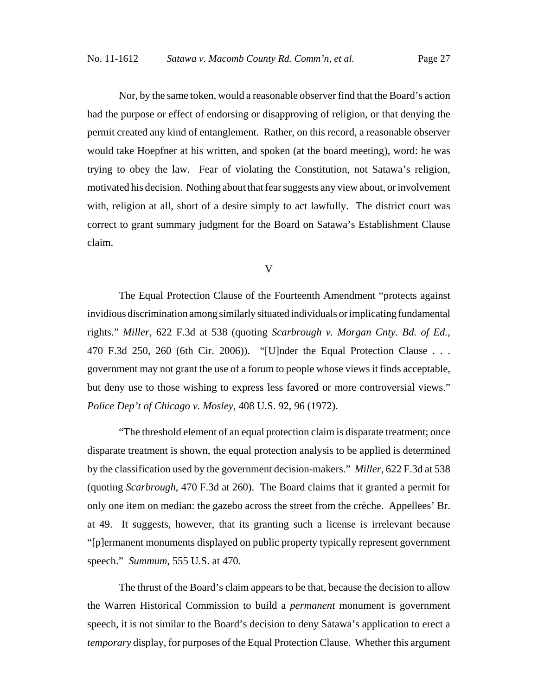Nor, by the same token, would a reasonable observer find that the Board's action had the purpose or effect of endorsing or disapproving of religion, or that denying the permit created any kind of entanglement. Rather, on this record, a reasonable observer would take Hoepfner at his written, and spoken (at the board meeting), word: he was trying to obey the law. Fear of violating the Constitution, not Satawa's religion, motivated his decision. Nothing about that fear suggests any view about, or involvement with, religion at all, short of a desire simply to act lawfully. The district court was correct to grant summary judgment for the Board on Satawa's Establishment Clause claim.

V

The Equal Protection Clause of the Fourteenth Amendment "protects against invidious discrimination among similarly situated individuals or implicating fundamental rights." *Miller*, 622 F.3d at 538 (quoting *Scarbrough v. Morgan Cnty. Bd. of Ed.*, 470 F.3d 250, 260 (6th Cir. 2006)). "[U]nder the Equal Protection Clause . . . government may not grant the use of a forum to people whose views it finds acceptable, but deny use to those wishing to express less favored or more controversial views." *Police Dep't of Chicago v. Mosley*, 408 U.S. 92, 96 (1972).

"The threshold element of an equal protection claim is disparate treatment; once disparate treatment is shown, the equal protection analysis to be applied is determined by the classification used by the government decision-makers." *Miller*, 622 F.3d at 538 (quoting *Scarbrough*, 470 F.3d at 260). The Board claims that it granted a permit for only one item on median: the gazebo across the street from the crèche. Appellees' Br. at 49. It suggests, however, that its granting such a license is irrelevant because "[p]ermanent monuments displayed on public property typically represent government speech." *Summum*, 555 U.S. at 470.

The thrust of the Board's claim appears to be that, because the decision to allow the Warren Historical Commission to build a *permanent* monument is government speech, it is not similar to the Board's decision to deny Satawa's application to erect a *temporary* display, for purposes of the Equal Protection Clause. Whether this argument